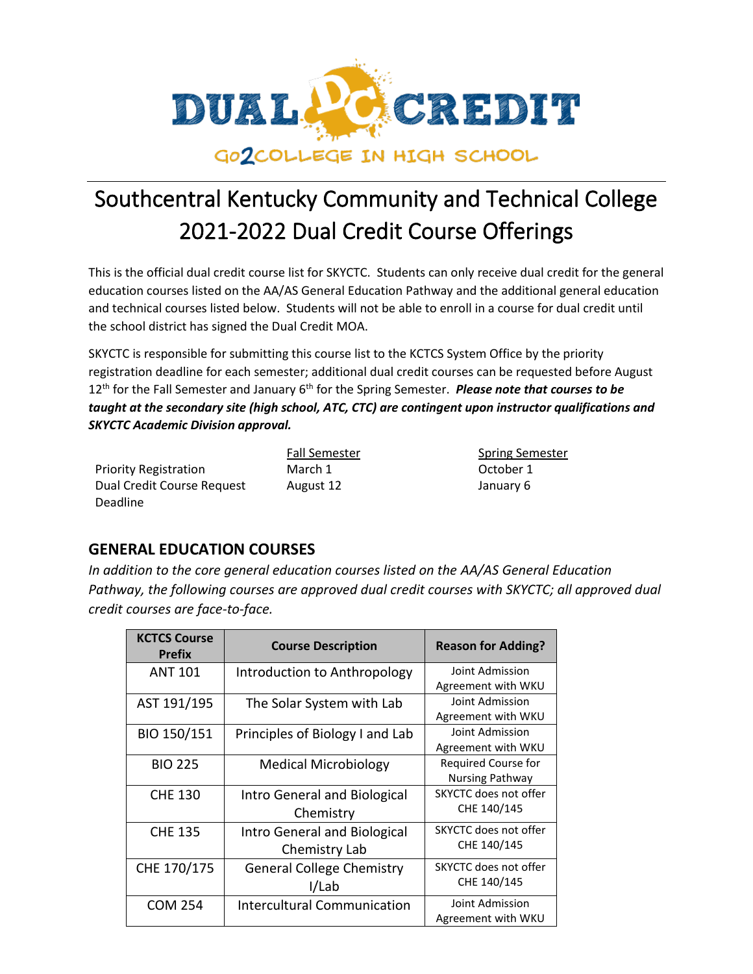

This is the official dual credit course list for SKYCTC. Students can only receive dual credit for the general education courses listed on the AA/AS General Education Pathway and the additional general education and technical courses listed below. Students will not be able to enroll in a course for dual credit until the school district has signed the Dual Credit MOA.

SKYCTC is responsible for submitting this course list to the KCTCS System Office by the priority registration deadline for each semester; additional dual credit courses can be requested before August 12th for the Fall Semester and January 6th for the Spring Semester. *Please note that courses to be taught at the secondary site (high school, ATC, CTC) are contingent upon instructor qualifications and SKYCTC Academic Division approval.*

|                              | Fall Semester | spring ser |
|------------------------------|---------------|------------|
| <b>Priority Registration</b> | March 1       | October 1  |
| Dual Credit Course Request   | August 12     | January 6  |
| Deadline                     |               |            |

Semester Spring Semester August 12 January 6

#### **GENERAL EDUCATION COURSES**

*In addition to the core general education courses listed on the AA/AS General Education Pathway, the following courses are approved dual credit courses with SKYCTC; all approved dual credit courses are face-to-face.*

| <b>KCTCS Course</b><br><b>Prefix</b> | <b>Course Description</b>          | <b>Reason for Adding?</b>    |
|--------------------------------------|------------------------------------|------------------------------|
| <b>ANT 101</b>                       | Introduction to Anthropology       | Joint Admission              |
|                                      |                                    | Agreement with WKU           |
| AST 191/195                          | The Solar System with Lab          | Joint Admission              |
|                                      |                                    | Agreement with WKU           |
| BIO 150/151                          | Principles of Biology I and Lab    | Joint Admission              |
|                                      |                                    | Agreement with WKU           |
| <b>BIO 225</b>                       | <b>Medical Microbiology</b>        | Required Course for          |
|                                      |                                    | <b>Nursing Pathway</b>       |
| <b>CHE 130</b>                       | Intro General and Biological       | <b>SKYCTC does not offer</b> |
|                                      | Chemistry                          | CHE 140/145                  |
| <b>CHE 135</b>                       | Intro General and Biological       | SKYCTC does not offer        |
|                                      | Chemistry Lab                      | CHE 140/145                  |
| CHE 170/175                          | <b>General College Chemistry</b>   | SKYCTC does not offer        |
|                                      | I/Lab                              | CHE 140/145                  |
| <b>COM 254</b>                       | <b>Intercultural Communication</b> | Joint Admission              |
|                                      |                                    | Agreement with WKU           |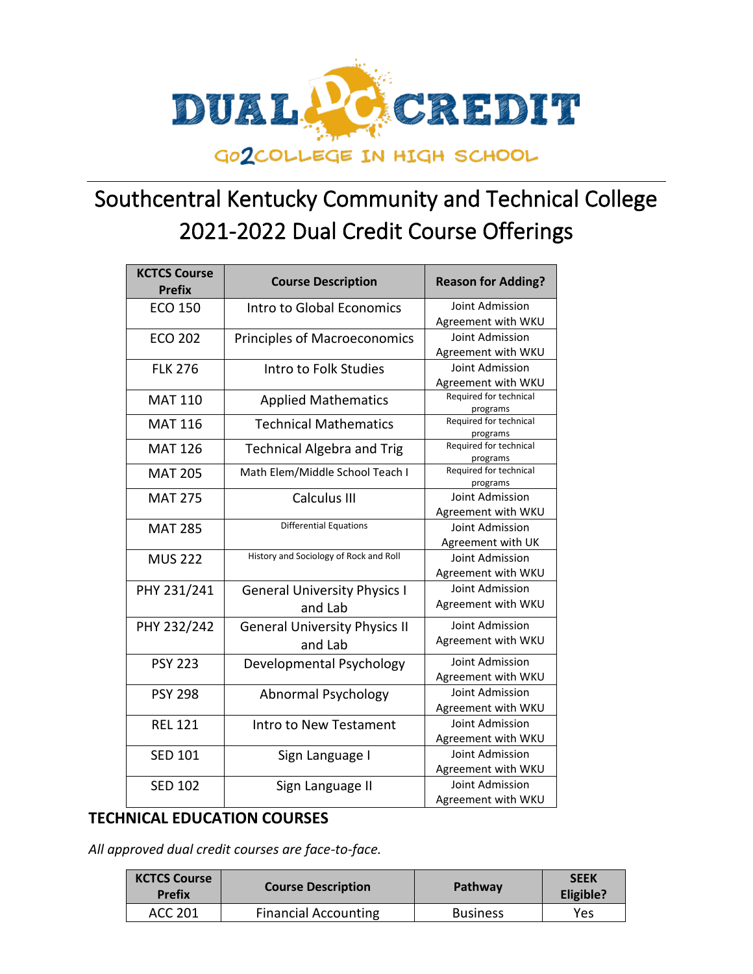

| <b>KCTCS Course</b><br><b>Prefix</b> | <b>Course Description</b>              | <b>Reason for Adding?</b>          |
|--------------------------------------|----------------------------------------|------------------------------------|
| <b>ECO 150</b>                       | Intro to Global Economics              | Joint Admission                    |
|                                      |                                        | Agreement with WKU                 |
| <b>ECO 202</b>                       | <b>Principles of Macroeconomics</b>    | Joint Admission                    |
|                                      |                                        | Agreement with WKU                 |
| <b>FLK 276</b>                       | Intro to Folk Studies                  | Joint Admission                    |
|                                      |                                        | Agreement with WKU                 |
| <b>MAT 110</b>                       | <b>Applied Mathematics</b>             | Required for technical             |
| <b>MAT 116</b>                       | <b>Technical Mathematics</b>           | programs<br>Required for technical |
|                                      |                                        | programs                           |
| <b>MAT 126</b>                       | <b>Technical Algebra and Trig</b>      | Required for technical             |
|                                      |                                        | programs                           |
| <b>MAT 205</b>                       | Math Elem/Middle School Teach I        | Required for technical<br>programs |
| <b>MAT 275</b>                       | Calculus III                           | Joint Admission                    |
|                                      |                                        | Agreement with WKU                 |
| <b>MAT 285</b>                       | <b>Differential Equations</b>          | Joint Admission                    |
|                                      |                                        | Agreement with UK                  |
| <b>MUS 222</b>                       | History and Sociology of Rock and Roll | Joint Admission                    |
|                                      |                                        | Agreement with WKU                 |
| PHY 231/241                          | <b>General University Physics I</b>    | Joint Admission                    |
|                                      | and Lab                                | Agreement with WKU                 |
| PHY 232/242                          | <b>General University Physics II</b>   | Joint Admission                    |
|                                      | and Lab                                | Agreement with WKU                 |
| <b>PSY 223</b>                       | Developmental Psychology               | Joint Admission                    |
|                                      |                                        | Agreement with WKU                 |
| <b>PSY 298</b>                       | Abnormal Psychology                    | Joint Admission                    |
|                                      |                                        | Agreement with WKU                 |
| <b>REL 121</b>                       | Intro to New Testament                 | Joint Admission                    |
|                                      |                                        | Agreement with WKU                 |
| <b>SED 101</b>                       | Sign Language I                        | Joint Admission                    |
|                                      |                                        | Agreement with WKU                 |
| <b>SED 102</b>                       | Sign Language II                       | Joint Admission                    |
|                                      |                                        | Agreement with WKU                 |

#### **TECHNICAL EDUCATION COURSES**

*All approved dual credit courses are face-to-face.* 

| <b>KCTCS Course</b><br><b>Prefix</b> | <b>Course Description</b>   | Pathway         | <b>SEEK</b><br>Eligible? |
|--------------------------------------|-----------------------------|-----------------|--------------------------|
| ACC 201                              | <b>Financial Accounting</b> | <b>Business</b> | Yes                      |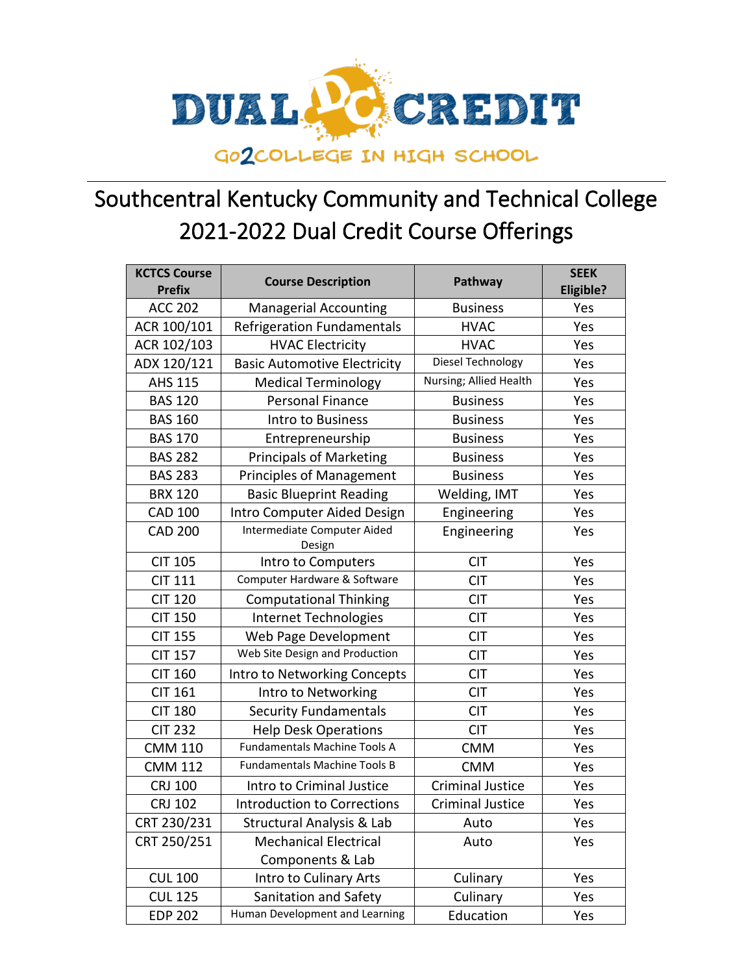

| <b>KCTCS Course</b><br><b>Prefix</b> | <b>Course Description</b>             | Pathway                 | <b>SEEK</b><br><b>Eligible?</b> |
|--------------------------------------|---------------------------------------|-------------------------|---------------------------------|
| <b>ACC 202</b>                       | <b>Managerial Accounting</b>          | <b>Business</b>         | Yes                             |
| ACR 100/101                          | <b>Refrigeration Fundamentals</b>     | <b>HVAC</b>             | Yes                             |
| ACR 102/103                          | <b>HVAC Electricity</b>               | <b>HVAC</b>             | Yes                             |
| ADX 120/121                          | <b>Basic Automotive Electricity</b>   | Diesel Technology       | Yes                             |
| <b>AHS 115</b>                       | <b>Medical Terminology</b>            | Nursing; Allied Health  | Yes                             |
| <b>BAS 120</b>                       | <b>Personal Finance</b>               | <b>Business</b>         | Yes                             |
| <b>BAS 160</b>                       | Intro to Business                     | <b>Business</b>         | Yes                             |
| <b>BAS 170</b>                       | Entrepreneurship                      | <b>Business</b>         | Yes                             |
| <b>BAS 282</b>                       | <b>Principals of Marketing</b>        | <b>Business</b>         | Yes                             |
| <b>BAS 283</b>                       | <b>Principles of Management</b>       | <b>Business</b>         | Yes                             |
| <b>BRX 120</b>                       | <b>Basic Blueprint Reading</b>        | Welding, IMT            | Yes                             |
| <b>CAD 100</b>                       | Intro Computer Aided Design           | Engineering             | Yes                             |
| <b>CAD 200</b>                       | Intermediate Computer Aided<br>Design | Engineering             | Yes                             |
| <b>CIT 105</b>                       | Intro to Computers                    | <b>CIT</b>              | Yes                             |
| <b>CIT 111</b>                       | Computer Hardware & Software          | <b>CIT</b>              | Yes                             |
| <b>CIT 120</b>                       | <b>Computational Thinking</b>         | <b>CIT</b>              | Yes                             |
| <b>CIT 150</b>                       | Internet Technologies                 | <b>CIT</b>              | Yes                             |
| <b>CIT 155</b>                       | Web Page Development                  | <b>CIT</b>              | Yes                             |
| <b>CIT 157</b>                       | Web Site Design and Production        | <b>CIT</b>              | Yes                             |
| <b>CIT 160</b>                       | Intro to Networking Concepts          | <b>CIT</b>              | Yes                             |
| <b>CIT 161</b>                       | Intro to Networking                   | <b>CIT</b>              | Yes                             |
| <b>CIT 180</b>                       | <b>Security Fundamentals</b>          | <b>CIT</b>              | Yes                             |
| <b>CIT 232</b>                       | <b>Help Desk Operations</b>           | <b>CIT</b>              | Yes                             |
| <b>CMM 110</b>                       | <b>Fundamentals Machine Tools A</b>   | <b>CMM</b>              | Yes                             |
| <b>CMM 112</b>                       | <b>Fundamentals Machine Tools B</b>   | <b>CMM</b>              | Yes                             |
| <b>CRJ 100</b>                       | Intro to Criminal Justice             | <b>Criminal Justice</b> | Yes                             |
| <b>CRJ 102</b>                       | <b>Introduction to Corrections</b>    | <b>Criminal Justice</b> | Yes                             |
| CRT 230/231                          | <b>Structural Analysis &amp; Lab</b>  | Auto                    | Yes                             |
| CRT 250/251                          | <b>Mechanical Electrical</b>          | Auto                    | Yes                             |
|                                      | Components & Lab                      |                         |                                 |
| <b>CUL 100</b>                       | Intro to Culinary Arts                | Culinary                | Yes                             |
| <b>CUL 125</b>                       | Sanitation and Safety                 | Culinary                | Yes                             |
| <b>EDP 202</b>                       | Human Development and Learning        | Education               | Yes                             |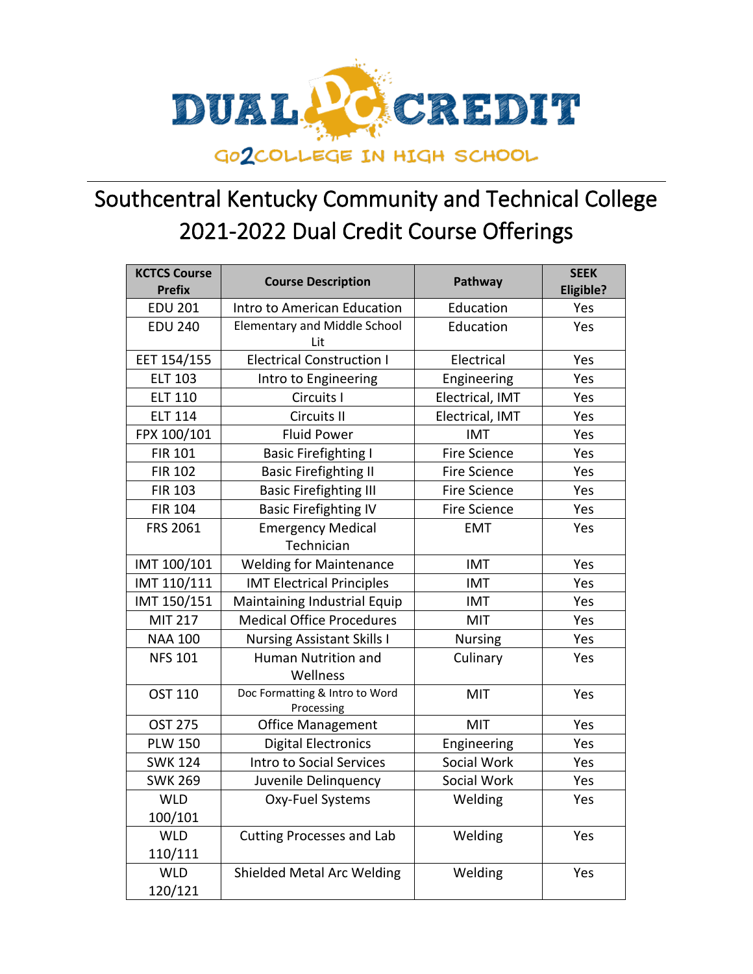

| <b>KCTCS Course</b><br><b>Prefix</b> | <b>Course Description</b>                    | Pathway             | <b>SEEK</b><br><b>Eligible?</b> |
|--------------------------------------|----------------------------------------------|---------------------|---------------------------------|
| <b>EDU 201</b>                       | Intro to American Education                  | Education           | Yes                             |
| <b>EDU 240</b>                       | <b>Elementary and Middle School</b><br>Lit   | Education           | Yes                             |
| EET 154/155                          | <b>Electrical Construction I</b>             | Electrical          | Yes                             |
| <b>ELT 103</b>                       | Intro to Engineering                         | Engineering         | Yes                             |
| <b>ELT 110</b>                       | Circuits I                                   | Electrical, IMT     | Yes                             |
| <b>ELT 114</b>                       | Circuits II                                  | Electrical, IMT     | Yes                             |
| FPX 100/101                          | <b>Fluid Power</b>                           | <b>IMT</b>          | Yes                             |
| <b>FIR 101</b>                       | <b>Basic Firefighting I</b>                  | <b>Fire Science</b> | Yes                             |
| <b>FIR 102</b>                       | <b>Basic Firefighting II</b>                 | <b>Fire Science</b> | Yes                             |
| <b>FIR 103</b>                       | <b>Basic Firefighting III</b>                | <b>Fire Science</b> | Yes                             |
| <b>FIR 104</b>                       | <b>Basic Firefighting IV</b>                 | <b>Fire Science</b> | Yes                             |
| FRS 2061                             | <b>Emergency Medical</b>                     | <b>EMT</b>          | Yes                             |
|                                      | Technician                                   |                     |                                 |
| IMT 100/101                          | <b>Welding for Maintenance</b>               | <b>IMT</b>          | Yes                             |
| IMT 110/111                          | <b>IMT Electrical Principles</b>             | <b>IMT</b>          | Yes                             |
| IMT 150/151                          | Maintaining Industrial Equip                 | <b>IMT</b>          | Yes                             |
| <b>MIT 217</b>                       | <b>Medical Office Procedures</b>             | MIT                 | Yes                             |
| <b>NAA 100</b>                       | <b>Nursing Assistant Skills I</b>            | <b>Nursing</b>      | Yes                             |
| <b>NFS 101</b>                       | <b>Human Nutrition and</b>                   | Culinary            | Yes                             |
|                                      | Wellness                                     |                     |                                 |
| <b>OST 110</b>                       | Doc Formatting & Intro to Word<br>Processing | MIT                 | Yes                             |
| <b>OST 275</b>                       | <b>Office Management</b>                     | <b>MIT</b>          | Yes                             |
| <b>PLW 150</b>                       | <b>Digital Electronics</b>                   | Engineering         | Yes                             |
| <b>SWK 124</b>                       | Intro to Social Services                     | Social Work         | Yes                             |
| <b>SWK 269</b>                       | Juvenile Delinquency                         | Social Work         | Yes                             |
| <b>WLD</b>                           | Oxy-Fuel Systems                             | Welding             | Yes                             |
| 100/101                              |                                              |                     |                                 |
| <b>WLD</b>                           | <b>Cutting Processes and Lab</b>             | Welding             | Yes                             |
| 110/111                              |                                              |                     |                                 |
| <b>WLD</b>                           | Shielded Metal Arc Welding                   | Welding             | Yes                             |
| 120/121                              |                                              |                     |                                 |